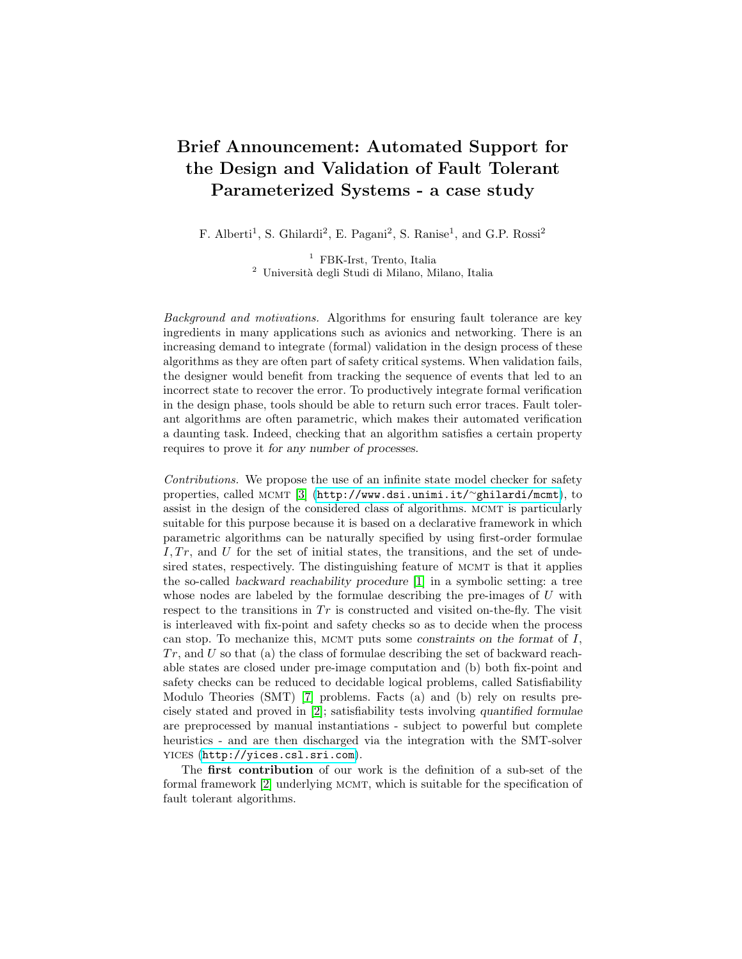## Brief Announcement: Automated Support for the Design and Validation of Fault Tolerant Parameterized Systems - a case study

F. Alberti<sup>1</sup>, S. Ghilardi<sup>2</sup>, E. Pagani<sup>2</sup>, S. Ranise<sup>1</sup>, and G.P. Rossi<sup>2</sup>

<sup>1</sup> FBK-Irst, Trento, Italia  $^2$ Università degli Studi di Milano, Milano, Italia

Background and motivations. Algorithms for ensuring fault tolerance are key ingredients in many applications such as avionics and networking. There is an increasing demand to integrate (formal) validation in the design process of these algorithms as they are often part of safety critical systems. When validation fails, the designer would benefit from tracking the sequence of events that led to an incorrect state to recover the error. To productively integrate formal verification in the design phase, tools should be able to return such error traces. Fault tolerant algorithms are often parametric, which makes their automated verification a daunting task. Indeed, checking that an algorithm satisfies a certain property requires to prove it for any number of processes.

Contributions. We propose the use of an infinite state model checker for safety properties, called mcmt [\[3\]](#page-2-0) ([http://www.dsi.unimi.it/](http://www.dsi.unimi.it/~ghilardi/mcmt)<sup>∼</sup>ghilardi/mcmt), to assist in the design of the considered class of algorithms. MCMT is particularly suitable for this purpose because it is based on a declarative framework in which parametric algorithms can be naturally specified by using first-order formulae  $I, Tr$ , and U for the set of initial states, the transitions, and the set of undesired states, respectively. The distinguishing feature of MCMT is that it applies the so-called backward reachability procedure [\[1\]](#page-2-1) in a symbolic setting: a tree whose nodes are labeled by the formulae describing the pre-images of U with respect to the transitions in  $Tr$  is constructed and visited on-the-fly. The visit is interleaved with fix-point and safety checks so as to decide when the process can stop. To mechanize this, MCMT puts some constraints on the format of  $I$ ,  $Tr$ , and U so that (a) the class of formulae describing the set of backward reachable states are closed under pre-image computation and (b) both fix-point and safety checks can be reduced to decidable logical problems, called Satisfiability Modulo Theories (SMT) [\[7\]](#page-2-2) problems. Facts (a) and (b) rely on results precisely stated and proved in [\[2\]](#page-2-3); satisfiability tests involving quantified formulae are preprocessed by manual instantiations - subject to powerful but complete heuristics - and are then discharged via the integration with the SMT-solver yices (<http://yices.csl.sri.com>).

The first contribution of our work is the definition of a sub-set of the formal framework [\[2\]](#page-2-3) underlying MCMT, which is suitable for the specification of fault tolerant algorithms.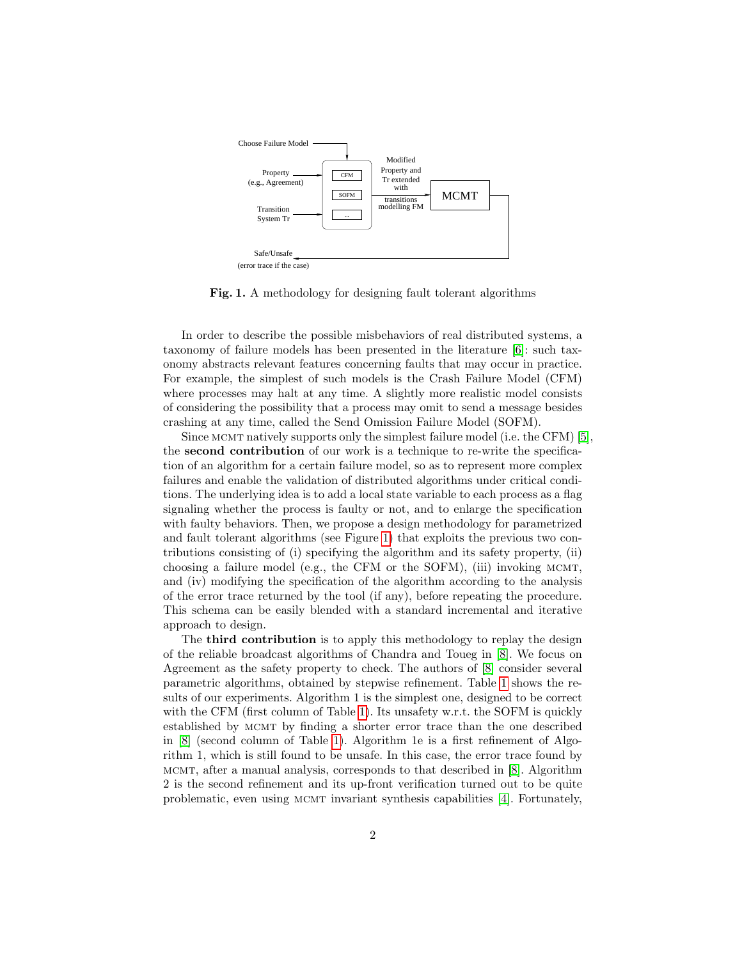

<span id="page-1-0"></span>Fig. 1. A methodology for designing fault tolerant algorithms

In order to describe the possible misbehaviors of real distributed systems, a taxonomy of failure models has been presented in the literature [\[6\]](#page-2-4): such taxonomy abstracts relevant features concerning faults that may occur in practice. For example, the simplest of such models is the Crash Failure Model (CFM) where processes may halt at any time. A slightly more realistic model consists of considering the possibility that a process may omit to send a message besides crashing at any time, called the Send Omission Failure Model (SOFM).

Since mcmt natively supports only the simplest failure model (i.e. the CFM) [\[5\]](#page-2-5), the second contribution of our work is a technique to re-write the specification of an algorithm for a certain failure model, so as to represent more complex failures and enable the validation of distributed algorithms under critical conditions. The underlying idea is to add a local state variable to each process as a flag signaling whether the process is faulty or not, and to enlarge the specification with faulty behaviors. Then, we propose a design methodology for parametrized and fault tolerant algorithms (see Figure [1\)](#page-1-0) that exploits the previous two contributions consisting of (i) specifying the algorithm and its safety property, (ii) choosing a failure model (e.g., the CFM or the SOFM), (iii) invoking MCMT, and (iv) modifying the specification of the algorithm according to the analysis of the error trace returned by the tool (if any), before repeating the procedure. This schema can be easily blended with a standard incremental and iterative approach to design.

The third contribution is to apply this methodology to replay the design of the reliable broadcast algorithms of Chandra and Toueg in [\[8\]](#page-2-6). We focus on Agreement as the safety property to check. The authors of [\[8\]](#page-2-6) consider several parametric algorithms, obtained by stepwise refinement. Table [1](#page-2-7) shows the results of our experiments. Algorithm 1 is the simplest one, designed to be correct with the CFM (first column of Table [1\)](#page-2-7). Its unsafety w.r.t. the SOFM is quickly established by mcmt by finding a shorter error trace than the one described in [\[8\]](#page-2-6) (second column of Table [1\)](#page-2-7). Algorithm 1e is a first refinement of Algorithm 1, which is still found to be unsafe. In this case, the error trace found by mcmt, after a manual analysis, corresponds to that described in [\[8\]](#page-2-6). Algorithm 2 is the second refinement and its up-front verification turned out to be quite problematic, even using mcmt invariant synthesis capabilities [\[4\]](#page-2-8). Fortunately,